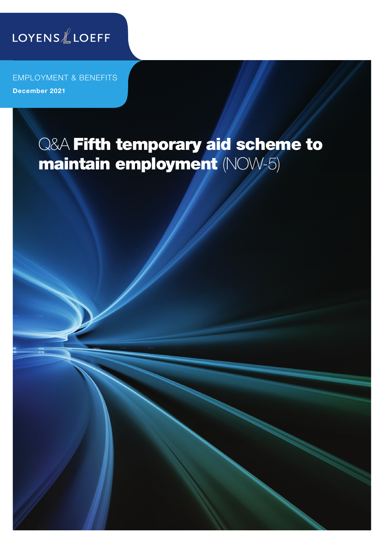

EMPLOYMENT & BENEFITS December 2021

# Q&A Fifth temporary aid scheme to maintain employment (NOW-5)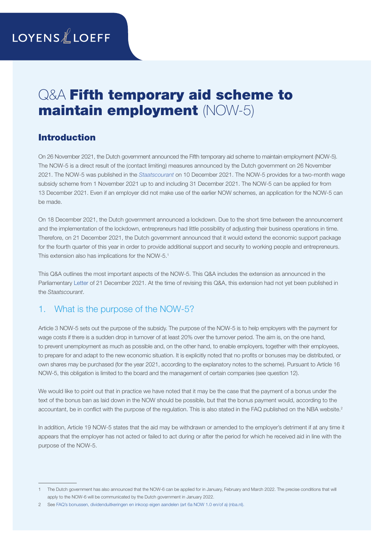## **LOYENS** & LOEFF

## Q&A Fifth temporary aid scheme to maintain employment (NOW-5)

## Introduction

On 26 November 2021, the Dutch government announced the Fifth temporary aid scheme to maintain employment (NOW-5). The NOW-5 is a direct result of the (contact limiting) measures announced by the Dutch government on 26 November 2021. The NOW-5 was published in the *[Staatscourant](https://zoek.officielebekendmakingen.nl/stcrt-2021-49190.html)* on 10 December 2021. The NOW-5 provides for a two-month wage subsidy scheme from 1 November 2021 up to and including 31 December 2021. The NOW-5 can be applied for from 13 December 2021. Even if an employer did not make use of the earlier NOW schemes, an application for the NOW-5 can be made.

On 18 December 2021, the Dutch government announced a lockdown. Due to the short time between the announcement and the implementation of the lockdown, entrepreneurs had little possibility of adjusting their business operations in time. Therefore, on 21 December 2021, the Dutch government announced that it would extend the economic support package for the fourth quarter of this year in order to provide additional support and security to working people and entrepreneurs. This extension also has implications for the NOW-5.<sup>1</sup>

This Q&A outlines the most important aspects of the NOW-5. This Q&A includes the extension as announced in the Parliamentary [Letter](https://www.rijksoverheid.nl/documenten/kamerstukken/2021/12/21/kamerbrief-over-aanpassing-steunmaatregelen) of 21 December 2021. At the time of revising this Q&A, this extension had not yet been published in the *Staatscourant*.

## 1. What is the purpose of the NOW-5?

Article 3 NOW-5 sets out the purpose of the subsidy. The purpose of the NOW-5 is to help employers with the payment for wage costs if there is a sudden drop in turnover of at least 20% over the turnover period. The aim is, on the one hand, to prevent unemployment as much as possible and, on the other hand, to enable employers, together with their employees, to prepare for and adapt to the new economic situation. It is explicitly noted that no profits or bonuses may be distributed, or own shares may be purchased (for the year 2021, according to the explanatory notes to the scheme). Pursuant to Article 16 NOW-5, this obligation is limited to the board and the management of certain companies (see question 12).

We would like to point out that in practice we have noted that it may be the case that the payment of a bonus under the text of the bonus ban as laid down in the NOW should be possible, but that the bonus payment would, according to the accountant, be in conflict with the purpose of the regulation. This is also stated in the FAQ published on the NBA website.<sup>2</sup>

In addition, Article 19 NOW-5 states that the aid may be withdrawn or amended to the employer's detriment if at any time it appears that the employer has not acted or failed to act during or after the period for which he received aid in line with the purpose of the NOW-5.

<sup>1</sup> The Dutch government has also announced that the NOW-6 can be applied for in January, February and March 2022. The precise conditions that will apply to the NOW-6 will be communicated by the Dutch government in January 2022.

<sup>2</sup> See [FAQ's bonussen, dividenduitkeringen en inkoop eigen aandelen \(art 6a NOW 1.0 en/of a\) \(nba.nl\).](https://www.nba.nl/nba-helpt/helpdesk-now-regeling/faqs-bonussen-dividenduitkeringen-en-inkoop-eigen-aandelen-art-6a-now-1.0/)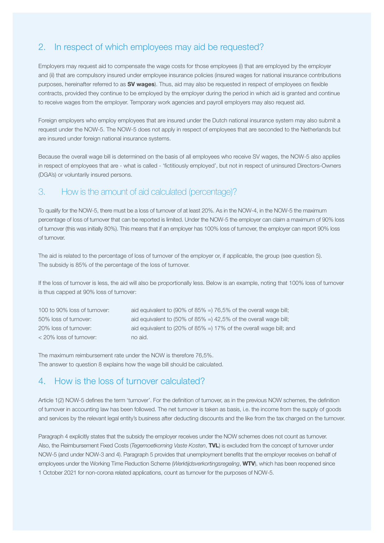## 2. In respect of which employees may aid be requested?

Employers may request aid to compensate the wage costs for those employees (i) that are employed by the employer and (ii) that are compulsory insured under employee insurance policies (insured wages for national insurance contributions purposes, hereinafter referred to as SV wages). Thus, aid may also be requested in respect of employees on flexible contracts, provided they continue to be employed by the employer during the period in which aid is granted and continue to receive wages from the employer. Temporary work agencies and payroll employers may also request aid.

Foreign employers who employ employees that are insured under the Dutch national insurance system may also submit a request under the NOW-5. The NOW-5 does not apply in respect of employees that are seconded to the Netherlands but are insured under foreign national insurance systems.

Because the overall wage bill is determined on the basis of all employees who receive SV wages, the NOW-5 also applies in respect of employees that are - what is called - 'fictitiously employed', but not in respect of uninsured Directors-Owners (DGA's) or voluntarily insured persons.

#### 3. How is the amount of aid calculated (percentage)?

To qualify for the NOW-5, there must be a loss of turnover of at least 20%. As in the NOW-4, in the NOW-5 the maximum percentage of loss of turnover that can be reported is limited. Under the NOW-5 the employer can claim a maximum of 90% loss of turnover (this was initially 80%). This means that if an employer has 100% loss of turnover, the employer can report 90% loss of turnover.

The aid is related to the percentage of loss of turnover of the employer or, if applicable, the group (see question 5). The subsidy is 85% of the percentage of the loss of turnover.

If the loss of turnover is less, the aid will also be proportionally less. Below is an example, noting that 100% loss of turnover is thus capped at 90% loss of turnover:

| 100 to 90% loss of turnover: | aid equivalent to (90% of 85% =) 76.5% of the overall wage bill;                         |
|------------------------------|------------------------------------------------------------------------------------------|
| 50% loss of turnover:        | aid equivalent to $(50\% \text{ of } 85\% = 142.5\% \text{ of the overall wage bill})$ ; |
| 20% loss of turnover:        | aid equivalent to (20% of 85% =) 17% of the overall wage bill; and                       |
| < 20% loss of turnover:      | no aid.                                                                                  |

The maximum reimbursement rate under the NOW is therefore 76,5%. The answer to question 8 explains how the wage bill should be calculated.

#### 4. How is the loss of turnover calculated?

Article 1(2) NOW-5 defines the term 'turnover'. For the definition of turnover, as in the previous NOW schemes, the definition of turnover in accounting law has been followed. The net turnover is taken as basis, i.e. the income from the supply of goods and services by the relevant legal entity's business after deducting discounts and the like from the tax charged on the turnover.

Paragraph 4 explicitly states that the subsidy the employer receives under the NOW schemes does not count as turnover. Also, the Reimbursement Fixed Costs (*Tegemoetkoming Vaste Kosten*, TVL) is excluded from the concept of turnover under NOW-5 (and under NOW-3 and 4). Paragraph 5 provides that unemployment benefits that the employer receives on behalf of employees under the Working Time Reduction Scheme (*Werktijdsverkortingsregeling*, WTV), which has been reopened since 1 October 2021 for non-corona related applications, count as turnover for the purposes of NOW-5.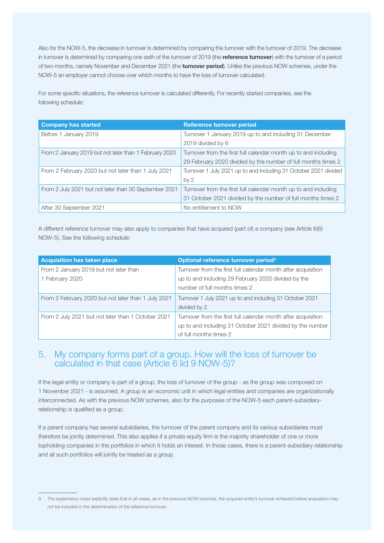Also for the NOW-5, the decrease in turnover is determined by comparing the turnover with the turnover of 2019. The decrease in turnover is determined by comparing one sixth of the turnover of 2019 (the reference turnover) with the turnover of a period of two months, namely November and December 2021 (the turnover period). Unlike the previous NOW schemes, under the NOW-5 an employer cannot choose over which months to have the loss of turnover calculated.

For some specific situations, the reference turnover is calculated differently. For recently started companies, see the following schedule:

| <b>Company has started</b>                             | <b>Reference turnover period</b>                                 |
|--------------------------------------------------------|------------------------------------------------------------------|
| Before 1 January 2019                                  | Turnover 1 January 2019 up to and including 31 December          |
|                                                        | 2019 divided by 6                                                |
| From 2 January 2019 but not later than 1 February 2020 | Turnover from the first full calendar month up to and including  |
|                                                        | 29 February 2020 divided by the number of full months times 2    |
| From 2 February 2020 but not later than 1 July 2021    | Turnover 1 July 2021 up to and including 31 October 2021 divided |
|                                                        | by <sub>2</sub>                                                  |
| From 2 July 2021 but not later than 30 September 2021  | Turnover from the first full calendar month up to and including  |
|                                                        | 31 October 2021 divided by the number of full months times 2     |
| After 30 September 2021                                | No entitlement to NOW                                            |

A different reference turnover may also apply to companies that have acquired (part of) a company (see Article 6(6) NOW-5). See the following schedule:

| <b>Acquisition has taken place</b>                  | Optional reference turnover period <sup>3</sup>               |
|-----------------------------------------------------|---------------------------------------------------------------|
| From 2 January 2019 but not later than              | Turnover from the first full calendar month after acquisition |
| 1 February 2020                                     | up to and including 29 February 2020 divided by the           |
|                                                     | number of full months times 2                                 |
| From 2 February 2020 but not later than 1 July 2021 | Turnover 1 July 2021 up to and including 31 October 2021      |
|                                                     | divided by 2                                                  |
| From 2 July 2021 but not later than 1 October 2021  | Turnover from the first full calendar month after acquisition |
|                                                     | up to and including 31 October 2021 divided by the number     |
|                                                     | of full months times 2                                        |

### 5. My company forms part of a group. How will the loss of turnover be calculated in that case (Article 6 lid 9 NOW-5)?

If the legal entity or company is part of a group, the loss of turnover of the group - as the group was composed on 1 November 2021 - is assumed. A group is an economic unit in which legal entities and companies are organizationally interconnected. As with the previous NOW schemes, also for the purposes of the NOW-5 each parent-subsidiaryrelationship is qualified as a group.

If a parent company has several subsidiaries, the turnover of the parent company and its various subsidiaries must therefore be jointly determined. This also applies if a private equity firm is the majority shareholder of one or more topholding companies in the portfolios in which it holds an interest. In those cases, there is a parent-subsidiary relationship and all such portfolios will jointly be treated as a group.

<sup>3</sup> The explanatory notes explicitly state that in all cases, as in the previous NOW tranches, the acquired entity's turnover achieved before acquisition may not be included in the determination of the reference turnover.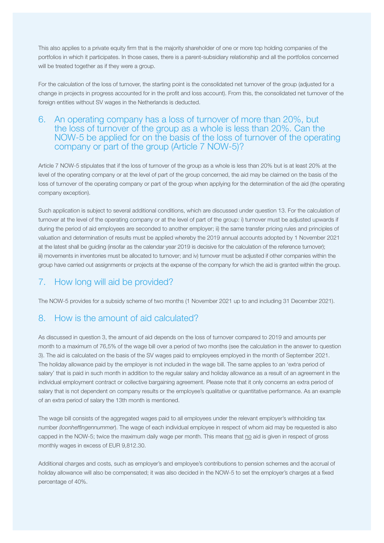This also applies to a private equity firm that is the majority shareholder of one or more top holding companies of the portfolios in which it participates. In those cases, there is a parent-subsidiary relationship and all the portfolios concerned will be treated together as if they were a group.

For the calculation of the loss of turnover, the starting point is the consolidated net turnover of the group (adjusted for a change in projects in progress accounted for in the profit and loss account). From this, the consolidated net turnover of the foreign entities without SV wages in the Netherlands is deducted.

#### 6. An operating company has a loss of turnover of more than 20%, but the loss of turnover of the group as a whole is less than 20%. Can the NOW-5 be applied for on the basis of the loss of turnover of the operating company or part of the group (Article 7 NOW-5)?

Article 7 NOW-5 stipulates that if the loss of turnover of the group as a whole is less than 20% but is at least 20% at the level of the operating company or at the level of part of the group concerned, the aid may be claimed on the basis of the loss of turnover of the operating company or part of the group when applying for the determination of the aid (the operating company exception).

Such application is subject to several additional conditions, which are discussed under question 13. For the calculation of turnover at the level of the operating company or at the level of part of the group: i) turnover must be adjusted upwards if during the period of aid employees are seconded to another employer; ii) the same transfer pricing rules and principles of valuation and determination of results must be applied whereby the 2019 annual accounts adopted by 1 November 2021 at the latest shall be guiding (insofar as the calendar year 2019 is decisive for the calculation of the reference turnover); iii) movements in inventories must be allocated to turnover; and iv) turnover must be adjusted if other companies within the group have carried out assignments or projects at the expense of the company for which the aid is granted within the group.

## 7. How long will aid be provided?

The NOW-5 provides for a subsidy scheme of two months (1 November 2021 up to and including 31 December 2021).

### 8. How is the amount of aid calculated?

As discussed in question 3, the amount of aid depends on the loss of turnover compared to 2019 and amounts per month to a maximum of 76,5% of the wage bill over a period of two months (see the calculation in the answer to question 3). The aid is calculated on the basis of the SV wages paid to employees employed in the month of September 2021. The holiday allowance paid by the employer is not included in the wage bill. The same applies to an 'extra period of salary' that is paid in such month in addition to the regular salary and holiday allowance as a result of an agreement in the individual employment contract or collective bargaining agreement. Please note that it only concerns an extra period of salary that is not dependent on company results or the employee's qualitative or quantitative performance. As an example of an extra period of salary the 13th month is mentioned.

The wage bill consists of the aggregated wages paid to all employees under the relevant employer's withholding tax number *(loonheffingennummer*). The wage of each individual employee in respect of whom aid may be requested is also capped in the NOW-5; twice the maximum daily wage per month. This means that no aid is given in respect of gross monthly wages in excess of EUR 9,812.30.

Additional charges and costs, such as employer's and employee's contributions to pension schemes and the accrual of holiday allowance will also be compensated; it was also decided in the NOW-5 to set the employer's charges at a fixed percentage of 40%.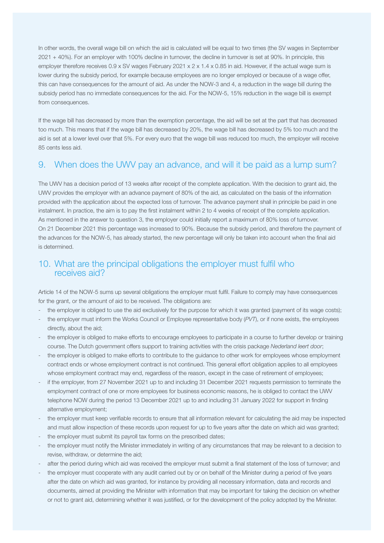In other words, the overall wage bill on which the aid is calculated will be equal to two times (the SV wages in September 2021 + 40%). For an employer with 100% decline in turnover, the decline in turnover is set at 90%. In principle, this employer therefore receives 0.9 x SV wages February 2021 x 2 x 1.4 x 0.85 in aid. However, if the actual wage sum is lower during the subsidy period, for example because employees are no longer employed or because of a wage offer, this can have consequences for the amount of aid. As under the NOW-3 and 4, a reduction in the wage bill during the subsidy period has no immediate consequences for the aid. For the NOW-5, 15% reduction in the wage bill is exempt from consequences.

If the wage bill has decreased by more than the exemption percentage, the aid will be set at the part that has decreased too much. This means that if the wage bill has decreased by 20%, the wage bill has decreased by 5% too much and the aid is set at a lower level over that 5%. For every euro that the wage bill was reduced too much, the employer will receive 85 cents less aid.

#### 9. When does the UWV pay an advance, and will it be paid as a lump sum?

The UWV has a decision period of 13 weeks after receipt of the complete application. With the decision to grant aid, the UWV provides the employer with an advance payment of 80% of the aid, as calculated on the basis of the information provided with the application about the expected loss of turnover. The advance payment shall in principle be paid in one instalment. In practice, the aim is to pay the first instalment within 2 to 4 weeks of receipt of the complete application. As mentioned in the answer to question 3, the employer could initially report a maximum of 80% loss of turnover. On 21 December 2021 this percentage was increased to 90%. Because the subsidy period, and therefore the payment of the advances for the NOW-5, has already started, the new percentage will only be taken into account when the final aid is determined.

#### 10. What are the principal obligations the employer must fulfil who receives aid?

Article 14 of the NOW-5 sums up several obligations the employer must fulfil. Failure to comply may have consequences for the grant, or the amount of aid to be received. The obligations are:

- the employer is obliged to use the aid exclusively for the purpose for which it was granted (payment of its wage costs);
- the employer must inform the Works Council or Employee representative body (*PVT*), or if none exists, the employees directly, about the aid;
- the employer is obliged to make efforts to encourage employees to participate in a course to further develop or training course. The Dutch government offers support to training activities with the crisis package *Nederland leert door*;
- the employer is obliged to make efforts to contribute to the guidance to other work for employees whose employment contract ends or whose employment contract is not continued. This general effort obligation applies to all employees whose employment contract may end, regardless of the reason, except in the case of retirement of employees;
- if the employer, from 27 November 2021 up to and including 31 December 2021 requests permission to terminate the employment contract of one or more employees for business economic reasons, he is obliged to contact the UWV telephone NOW during the period 13 December 2021 up to and including 31 January 2022 for support in finding alternative employment;
- the employer must keep verifiable records to ensure that all information relevant for calculating the aid may be inspected and must allow inspection of these records upon request for up to five years after the date on which aid was granted;
- the employer must submit its payroll tax forms on the prescribed dates;
- the employer must notify the Minister immediately in writing of any circumstances that may be relevant to a decision to revise, withdraw, or determine the aid;
- after the period during which aid was received the employer must submit a final statement of the loss of turnover; and
- the employer must cooperate with any audit carried out by or on behalf of the Minister during a period of five years after the date on which aid was granted, for instance by providing all necessary information, data and records and documents, aimed at providing the Minister with information that may be important for taking the decision on whether or not to grant aid, determining whether it was justified, or for the development of the policy adopted by the Minister.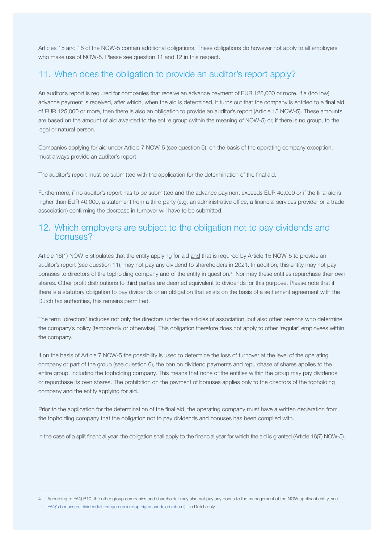Articles 15 and 16 of the NOW-5 contain additional obligations. These obligations do however not apply to all employers who make use of NOW-5. Please see question 11 and 12 in this respect.

#### 11. When does the obligation to provide an auditor's report apply?

An auditor's report is required for companies that receive an advance payment of EUR 125,000 or more. If a (too low) advance payment is received, after which, when the aid is determined, it turns out that the company is entitled to a final aid of EUR 125,000 or more, then there is also an obligation to provide an auditor's report (Article 15 NOW-5). These amounts are based on the amount of aid awarded to the entire group (within the meaning of NOW-5) or, if there is no group, to the legal or natural person.

Companies applying for aid under Article 7 NOW-5 (see question 6), on the basis of the operating company exception, must always provide an auditor's report.

The auditor's report must be submitted with the application for the determination of the final aid.

Furthermore, if no auditor's report has to be submitted and the advance payment exceeds EUR 40,000 or if the final aid is higher than EUR 40,000, a statement from a third party (e.g. an administrative office, a financial services provider or a trade association) confirming the decrease in turnover will have to be submitted.

#### 12. Which employers are subject to the obligation not to pay dividends and bonuses?

Article 16(1) NOW-5 stipulates that the entity applying for aid and that is required by Article 15 NOW-5 to provide an auditor's report (see question 11), may not pay any dividend to shareholders in 2021. In addition, this entity may not pay bonuses to directors of the topholding company and of the entity in question.4 Nor may these entities repurchase their own shares. Other profit distributions to third parties are deemed equivalent to dividends for this purpose. Please note that if there is a statutory obligation to pay dividends or an obligation that exists on the basis of a settlement agreement with the Dutch tax authorities, this remains permitted.

The term 'directors' includes not only the directors under the articles of association, but also other persons who determine the company's policy (temporarily or otherwise). This obligation therefore does not apply to other 'regular' employees within the company.

If on the basis of Article 7 NOW-5 the possibility is used to determine the loss of turnover at the level of the operating company or part of the group (see question 6), the ban on dividend payments and repurchase of shares applies to the entire group, including the topholding company. This means that none of the entities within the group may pay dividends or repurchase its own shares. The prohibition on the payment of bonuses applies only to the directors of the topholding company and the entity applying for aid.

Prior to the application for the determination of the final aid, the operating company must have a written declaration from the topholding company that the obligation not to pay dividends and bonuses has been complied with.

In the case of a split financial year, the obligation shall apply to the financial year for which the aid is granted (Article 16(7) NOW-5).

<sup>4</sup> According to FAQ B10, the other group companies and shareholder may also not pay any bonus to the management of the NOW applicant entity, see [FAQ's bonussen, dividenduitkeringen en inkoop eigen aandelen \(nba.nl\)](https://www.nba.nl/nba-helpt/helpdesk-now-regeling/faqs-bonussen-dividenduitkeringen-en-inkoop-eigen-aandelen-art-6a-now-1.0/) - in Dutch only.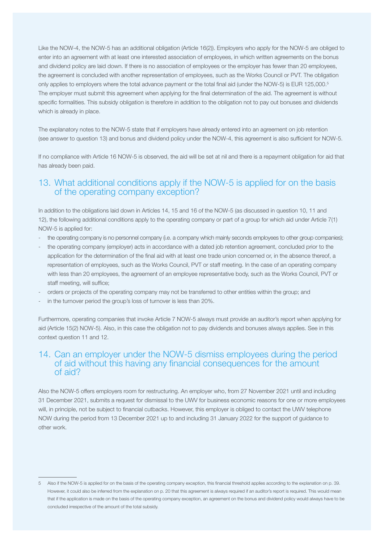Like the NOW-4, the NOW-5 has an additional obligation (Article 16(2)). Employers who apply for the NOW-5 are obliged to enter into an agreement with at least one interested association of employees, in which written agreements on the bonus and dividend policy are laid down. If there is no association of employees or the employer has fewer than 20 employees, the agreement is concluded with another representation of employees, such as the Works Council or PVT. The obligation only applies to employers where the total advance payment or the total final aid (under the NOW-5) is EUR 125,000.<sup>5</sup> The employer must submit this agreement when applying for the final determination of the aid. The agreement is without specific formalities. This subsidy obligation is therefore in addition to the obligation not to pay out bonuses and dividends which is already in place.

The explanatory notes to the NOW-5 state that if employers have already entered into an agreement on job retention (see answer to question 13) and bonus and dividend policy under the NOW-4, this agreement is also sufficient for NOW-5.

If no compliance with Article 16 NOW-5 is observed, the aid will be set at nil and there is a repayment obligation for aid that has already been paid.

## 13. What additional conditions apply if the NOW-5 is applied for on the basis of the operating company exception?

In addition to the obligations laid down in Articles 14, 15 and 16 of the NOW-5 (as discussed in question 10, 11 and 12), the following additional conditions apply to the operating company or part of a group for which aid under Article 7(1) NOW-5 is applied for:

- the operating company is no personnel company (i.e. a company which mainly seconds employees to other group companies);
- the operating company (employer) acts in accordance with a dated job retention agreement, concluded prior to the application for the determination of the final aid with at least one trade union concerned or, in the absence thereof, a representation of employees, such as the Works Council, PVT or staff meeting. In the case of an operating company with less than 20 employees, the agreement of an employee representative body, such as the Works Council, PVT or staff meeting, will suffice;
- orders or projects of the operating company may not be transferred to other entities within the group; and
- in the turnover period the group's loss of turnover is less than 20%.

Furthermore, operating companies that invoke Article 7 NOW-5 always must provide an auditor's report when applying for aid (Article 15(2) NOW-5). Also, in this case the obligation not to pay dividends and bonuses always applies. See in this context question 11 and 12.

#### 14. Can an employer under the NOW-5 dismiss employees during the period of aid without this having any financial consequences for the amount of aid?

Also the NOW-5 offers employers room for restructuring. An employer who, from 27 November 2021 until and including 31 December 2021, submits a request for dismissal to the UWV for business economic reasons for one or more employees will, in principle, not be subject to financial cutbacks. However, this employer is obliged to contact the UWV telephone NOW during the period from 13 December 2021 up to and including 31 January 2022 for the support of guidance to other work.

<sup>5</sup> Also if the NOW-5 is applied for on the basis of the operating company exception, this financial threshold applies according to the explanation on p. 39. However, it could also be inferred from the explanation on p. 20 that this agreement is always required if an auditor's report is required. This would mean that if the application is made on the basis of the operating company exception, an agreement on the bonus and dividend policy would always have to be concluded irrespective of the amount of the total subsidy.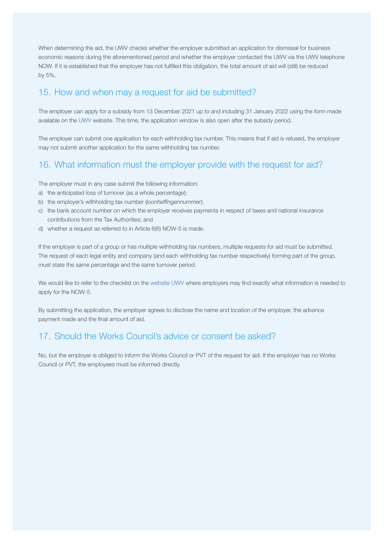When determining the aid, the UWV checks whether the employer submitted an application for dismissal for business economic reasons during the aforementioned period and whether the employer contacted the UWV via the UWV telephone NOW. If it is established that the employer has not fulfilled this obligation, the total amount of aid will (still) be reduced by 5%.

## 15. How and when may a request for aid be submitted?

The employer can apply for a subsidy from 13 December 2021 up to and including 31 January 2022 using the form made available on the [UWV](https://www.uwv.nl/werkgevers/formulieren/aanvragen-tegemoetkoming-now-zevende-aanvraagperiode.aspx) website. This time, the application window is also open after the subsidy period.

The employer can submit one application for each withholding tax number. This means that if aid is refused, the employer may not submit another application for the same withholding tax number.

## 16. What information must the employer provide with the request for aid?

The employer must in any case submit the following information:

- a) the anticipated loss of turnover (as a whole percentage);
- b) the employer's withholding tax number (*loonheffingennummer*);
- c) the bank account number on which the employer receives payments in respect of taxes and national insurance contributions from the Tax Authorities; and
- d) whether a request as referred to in Article 6(6) NOW-5 is made.

If the employer is part of a group or has multiple withholding tax numbers, multiple requests for aid must be submitted. The request of each legal entity and company (and each withholding tax number respectively) forming part of the group, must state the same percentage and the same turnover period.

We would like to refer to the checklist on the [website UWV](https://www.uwv.nl/werkgevers/formulieren/aanvragen-tegemoetkoming-now-zevende-aanvraagperiode.aspx) where employers may find exactly what information is needed to apply for the NOW-5.

By submitting the application, the employer agrees to disclose the name and location of the employer, the advance payment made and the final amount of aid.

## 17. Should the Works Council's advice or consent be asked?

No, but the employer is obliged to inform the Works Council or PVT of the request for aid. If the employer has no Works Council or PVT, the employees must be informed directly.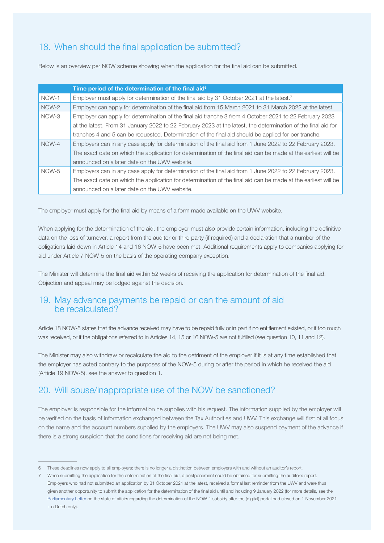## 18. When should the final application be submitted?

Below is an overview per NOW scheme showing when the application for the final aid can be submitted.

|       | Time period of the determination of the final aid <sup>6</sup>                                                 |
|-------|----------------------------------------------------------------------------------------------------------------|
| NOW-1 | Employer must apply for determination of the final aid by 31 October 2021 at the latest. <sup>7</sup>          |
| NOW-2 | Employer can apply for determination of the final aid from 15 March 2021 to 31 March 2022 at the latest.       |
| NOW-3 | Employer can apply for determination of the final aid tranche 3 from 4 October 2021 to 22 February 2023        |
|       | at the latest. From 31 January 2022 to 22 February 2023 at the latest, the determination of the final aid for  |
|       | tranches 4 and 5 can be requested. Determination of the final aid should be applied for per tranche.           |
| NOW-4 | Employers can in any case apply for determination of the final aid from 1 June 2022 to 22 February 2023.       |
|       | The exact date on which the application for determination of the final aid can be made at the earliest will be |
|       | announced on a later date on the UWV website.                                                                  |
| NOW-5 | Employers can in any case apply for determination of the final aid from 1 June 2022 to 22 February 2023.       |
|       | The exact date on which the application for determination of the final aid can be made at the earliest will be |
|       | announced on a later date on the UWV website.                                                                  |

The employer must apply for the final aid by means of a form made available on the UWV website.

When applying for the determination of the aid, the employer must also provide certain information, including the definitive data on the loss of turnover, a report from the auditor or third party (if required) and a declaration that a number of the obligations laid down in Article 14 and 16 NOW-5 have been met. Additional requirements apply to companies applying for aid under Article 7 NOW-5 on the basis of the operating company exception.

The Minister will determine the final aid within 52 weeks of receiving the application for determination of the final aid. Objection and appeal may be lodged against the decision.

#### 19. May advance payments be repaid or can the amount of aid be recalculated?

Article 18 NOW-5 states that the advance received may have to be repaid fully or in part if no entitlement existed, or if too much was received, or if the obligations referred to in Articles 14, 15 or 16 NOW-5 are not fulfilled (see question 10, 11 and 12).

The Minister may also withdraw or recalculate the aid to the detriment of the employer if it is at any time established that the employer has acted contrary to the purposes of the NOW-5 during or after the period in which he received the aid (Article 19 NOW-5), see the answer to question 1.

## 20. Will abuse/inappropriate use of the NOW be sanctioned?

The employer is responsible for the information he supplies with his request. The information supplied by the employer will be verified on the basis of information exchanged between the Tax Authorities and UWV. This exchange will first of all focus on the name and the account numbers supplied by the employers. The UWV may also suspend payment of the advance if there is a strong suspicion that the conditions for receiving aid are not being met.

<sup>6</sup> These deadlines now apply to all employers; there is no longer a distinction between employers with and without an auditor's report.

<sup>7</sup> When submitting the application for the determination of the final aid, a postponement could be obtained for submitting the auditor's report. Employers who had not submitted an application by 31 October 2021 at the latest, received a formal last reminder from the UWV and were thus given another opportunity to submit the application for the determination of the final aid until and including 9 January 2022 (for more details, see the [Parliamentary Letter](https://www.rijksoverheid.nl/documenten/kamerstukken/2021/11/01/kamerbrief-stand-van-zaken-vaststellingen-now-1-na-sluiting-vaststellingsloket) on the state of affairs regarding the determination of the NOW-1 subsidy after the (digital) portal had closed on 1 November 2021 - in Dutch only).